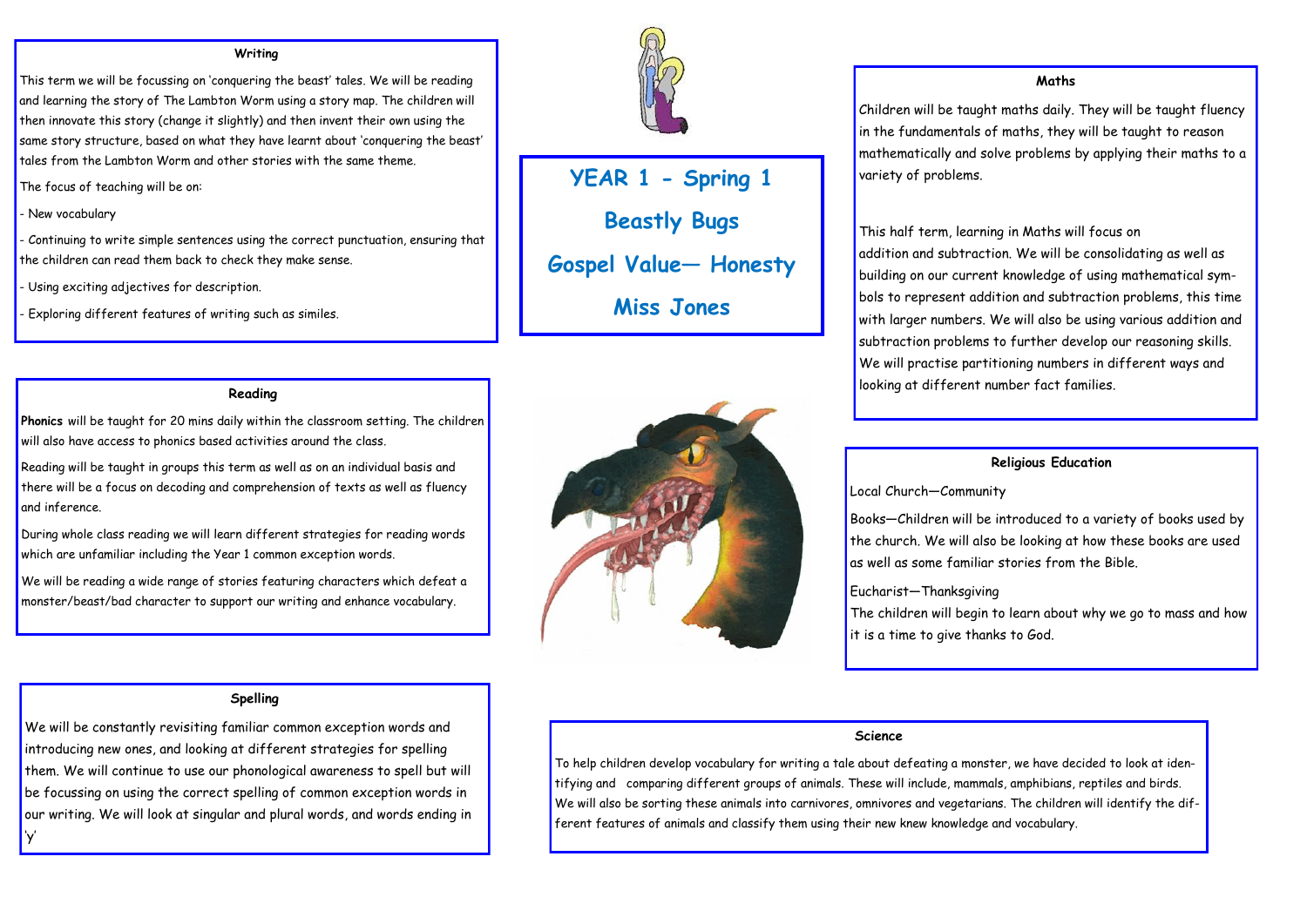**YEAR 1 - Spring 1 Beastly Bugs Gospel Value— Honesty Miss Jones**



## **Writing**

This term we will be focussing on 'conquering the beast' tales. We will be reading and learning the story of The Lambton Worm using a story map. The children will then innovate this story (change it slightly) and then invent their own using the same story structure, based on what they have learnt about 'conquering the beast' tales from the Lambton Worm and other stories with the same theme.

- Using exciting adjectives for description.
- Exploring different features of writing such as similes.

The focus of teaching will be on:

- New vocabulary

- Continuing to write simple sentences using the correct punctuation, ensuring that the children can read them back to check they make sense.

# **Reading**

**Phonics** will be taught for 20 mins daily within the classroom setting. The children will also have access to phonics based activities around the class.

Reading will be taught in groups this term as well as on an individual basis and there will be a focus on decoding and comprehension of texts as well as fluency and inference.

During whole class reading we will learn different strategies for reading words which are unfamiliar including the Year 1 common exception words.

We will be reading a wide range of stories featuring characters which defeat a monster/beast/bad character to support our writing and enhance vocabulary.

### **Spelling**

We will be constantly revisiting familiar common exception words and introducing new ones, and looking at different strategies for spelling them. We will continue to use our phonological awareness to spell but will be focussing on using the correct spelling of common exception words in our writing. We will look at singular and plural words, and words ending in



'y'

# **Religious Education**

Local Church—Community

Books—Children will be introduced to a variety of books used by the church. We will also be looking at how these books are used as well as some familiar stories from the Bible.

The children will begin to learn about why we go to mass and how

Eucharist—Thanksgiving it is a time to give thanks to God.

# **Maths**

Children will be taught maths daily. They will be taught fluency in the fundamentals of maths, they will be taught to reason mathematically and solve problems by applying their maths to a variety of problems.

This half term, learning in Maths will focus on addition and subtraction. We will be consolidating as well as building on our current knowledge of using mathematical symbols to represent addition and subtraction problems, this time with larger numbers. We will also be using various addition and subtraction problems to further develop our reasoning skills. We will practise partitioning numbers in different ways and looking at different number fact families.

### **Science**

To help children develop vocabulary for writing a tale about defeating a monster, we have decided to look at identifying and comparing different groups of animals. These will include, mammals, amphibians, reptiles and birds. We will also be sorting these animals into carnivores, omnivores and vegetarians. The children will identify the different features of animals and classify them using their new knew knowledge and vocabulary.